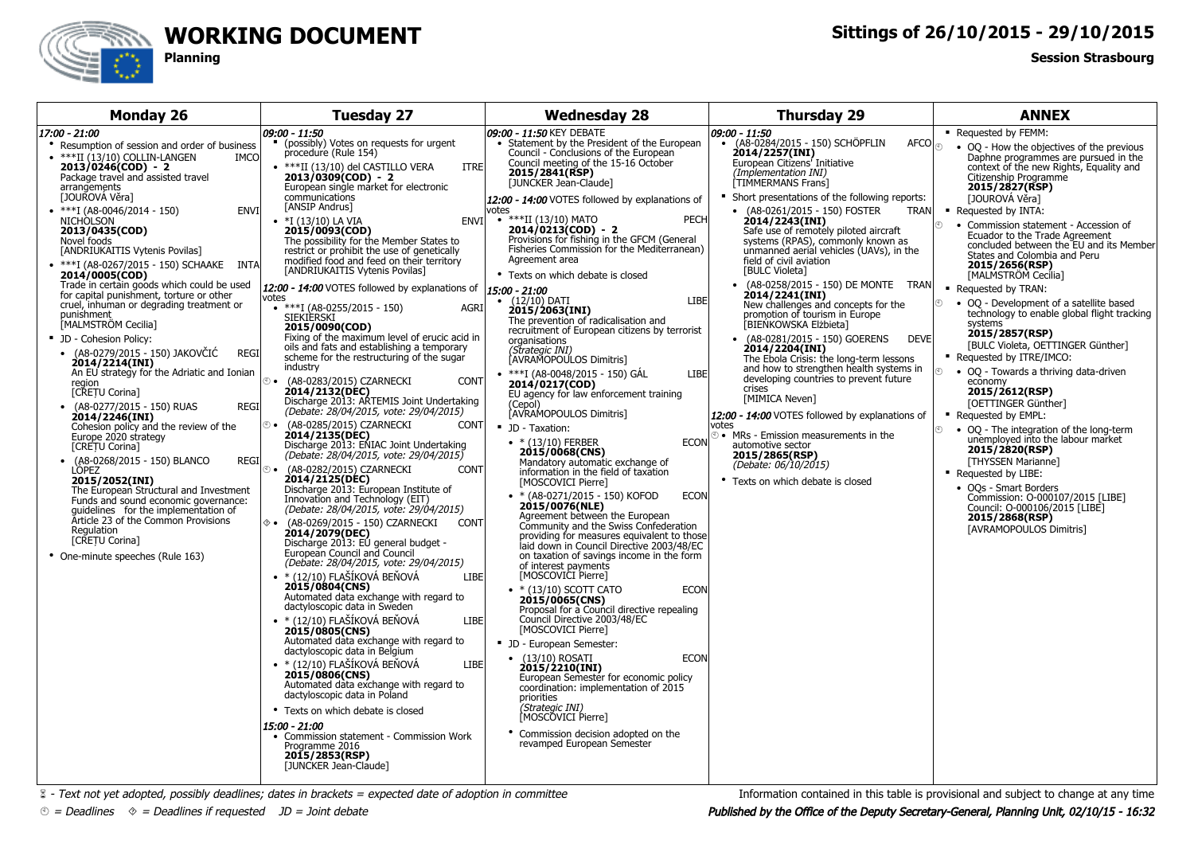

## **WORKING DOCUMENT**

**Planning**

## **Sittings of 26/10/2015 - 29/10/2015**

## **Session Strasbourg**

| <b>Monday 26</b>                                                                                                                                                                                                                                                                                                                                                                                                                                                                                                                                                                                                                                                                                                                                                                                                                                                                                                                                                                                                                                                                                                                                                                                                                                                                                           | <b>Tuesday 27</b>                                                                                                                                                                                                                                                                                                                                                                                                                                                                                                                                                                                                                                                                                                                                                                                                                                                                                                                                                                                                                                                                                                                                                                                                                                                                                                                                                                                                                                                                                                                                                                                                                                                                                                                                                                                                                                                                                                                                                                                                                                                       | <b>Wednesday 28</b>                                                                                                                                                                                                                                                                                                                                                                                                                                                                                                                                                                                                                                                                                                                                                                                                                                                                                                                                                                                                                                                                                                                                                                                                                                                                                                                                                                                                                                                                                                                                                                                                                                                                                                                                                                                                                                                       | <b>Thursday 29</b>                                                                                                                                                                                                                                                                                                                                                                                                                                                                                                                                                                                                                                                                                                                                                                                                                                                                                                                                                                                                                                                                                                   | <b>ANNEX</b>                                                                                                                                                                                                                                                                                                                                                                                                                                                                                                                                                                                                                                                                                                                                                                                                                                                                                                                                                                                                                                                                                                 |
|------------------------------------------------------------------------------------------------------------------------------------------------------------------------------------------------------------------------------------------------------------------------------------------------------------------------------------------------------------------------------------------------------------------------------------------------------------------------------------------------------------------------------------------------------------------------------------------------------------------------------------------------------------------------------------------------------------------------------------------------------------------------------------------------------------------------------------------------------------------------------------------------------------------------------------------------------------------------------------------------------------------------------------------------------------------------------------------------------------------------------------------------------------------------------------------------------------------------------------------------------------------------------------------------------------|-------------------------------------------------------------------------------------------------------------------------------------------------------------------------------------------------------------------------------------------------------------------------------------------------------------------------------------------------------------------------------------------------------------------------------------------------------------------------------------------------------------------------------------------------------------------------------------------------------------------------------------------------------------------------------------------------------------------------------------------------------------------------------------------------------------------------------------------------------------------------------------------------------------------------------------------------------------------------------------------------------------------------------------------------------------------------------------------------------------------------------------------------------------------------------------------------------------------------------------------------------------------------------------------------------------------------------------------------------------------------------------------------------------------------------------------------------------------------------------------------------------------------------------------------------------------------------------------------------------------------------------------------------------------------------------------------------------------------------------------------------------------------------------------------------------------------------------------------------------------------------------------------------------------------------------------------------------------------------------------------------------------------------------------------------------------------|---------------------------------------------------------------------------------------------------------------------------------------------------------------------------------------------------------------------------------------------------------------------------------------------------------------------------------------------------------------------------------------------------------------------------------------------------------------------------------------------------------------------------------------------------------------------------------------------------------------------------------------------------------------------------------------------------------------------------------------------------------------------------------------------------------------------------------------------------------------------------------------------------------------------------------------------------------------------------------------------------------------------------------------------------------------------------------------------------------------------------------------------------------------------------------------------------------------------------------------------------------------------------------------------------------------------------------------------------------------------------------------------------------------------------------------------------------------------------------------------------------------------------------------------------------------------------------------------------------------------------------------------------------------------------------------------------------------------------------------------------------------------------------------------------------------------------------------------------------------------------|----------------------------------------------------------------------------------------------------------------------------------------------------------------------------------------------------------------------------------------------------------------------------------------------------------------------------------------------------------------------------------------------------------------------------------------------------------------------------------------------------------------------------------------------------------------------------------------------------------------------------------------------------------------------------------------------------------------------------------------------------------------------------------------------------------------------------------------------------------------------------------------------------------------------------------------------------------------------------------------------------------------------------------------------------------------------------------------------------------------------|--------------------------------------------------------------------------------------------------------------------------------------------------------------------------------------------------------------------------------------------------------------------------------------------------------------------------------------------------------------------------------------------------------------------------------------------------------------------------------------------------------------------------------------------------------------------------------------------------------------------------------------------------------------------------------------------------------------------------------------------------------------------------------------------------------------------------------------------------------------------------------------------------------------------------------------------------------------------------------------------------------------------------------------------------------------------------------------------------------------|
| 17:00 - 21:00<br>• Resumption of session and order of business<br>$\bullet$ ***II (13/10) COLLIN-LANGEN<br><b>IMCO</b><br>$2013/0246(COD) - 2$<br>Package travel and assisted travel<br>arrangements<br>[JOUROVÁ Věra]<br>$*$ ***I (A8-0046/2014 - 150)<br><b>ENVI</b><br><b>NICHOLSON</b><br>2013/0435(COD)<br>Novel foods<br>[ANDRIUKAITIS Vytenis Povilas]<br>• ***I (A8-0267/2015 - 150) SCHAAKE INTA<br>2014/0005(COD)<br>Trade in certain goods which could be used<br>for capital punishment, torture or other<br>cruel, inhuman or degrading treatment or<br>punishment<br>MALMSTRÖM Cecilia]<br>• JD - Cohesion Policy:<br>(A8-0279/2015 - 150) JAKOVČIĆ<br><b>REGI</b><br>2014/2214(INI)<br>An EU strategy for the Adriatic and Ionian<br>⊕ ⊕<br>region<br>[CRETU Corina]<br>• (A8-0277/2015 - 150) RUAS<br><b>REGI</b><br>2014/2246(INI)<br>⊕ ∙<br>Cohesion policy and the review of the<br>Europe 2020 strategy<br>[CRETU Corina]<br>(A8-0268/2015 - 150) BLANCO<br><b>REGI</b><br>$\bullet$<br>LÓPEZ<br>$\bullet$ $\circledcirc$<br>2015/2052(INI)<br>The European Structural and Investment<br>Funds and sound economic governance:<br>quidelines for the implementation of<br>Article 23 of the Common Provisions<br>◈∙<br>Regulation<br>[CRETU Corina]<br>• One-minute speeches (Rule 163) | 09:00 - 11:50<br>• (possibly) Votes on requests for urgent<br>procedure (Rule 154)<br>• ***II (13/10) del CASTILLO VERA<br><b>ITRE</b><br>$2013/0309(COD) - 2$<br>European single market for electronic<br>communications<br>[ANSIP Andrus]<br>$\bullet$ *I (13/10) LA VIA<br>2015/0093(COD)<br>The possibility for the Member States to<br>restrict or prohibit the use of genetically<br>modified food and feed on their territory<br>[ANDRIUKAITIS Vytenis Povilas]<br>12:00 - 14:00 VOTES followed by explanations of<br>votes<br>$***I (A8-0255/2015 - 150)$<br><b>AGRI</b><br>SIEKIERSKI<br>2015/0090(COD)<br>Fixing of the maximum level of erucic acid in<br>oils and fats and establishing a temporary<br>scheme for the restructuring of the sugar<br>industry<br>(A8-0283/2015) CZARNECKI<br><b>CONT</b><br>2014/2132(DEC)<br>Discharge 2013: ARTEMIS Joint Undertaking<br>(Debate: 28/04/2015, vote: 29/04/2015)<br>(A8-0285/2015) CZARNECKI<br><b>CONT</b><br>2014/2135(DEC)<br>Discharge 2013: ENIAC Joint Undertaking<br>(Debate: 28/04/2015, vote: 29/04/2015)<br>(A8-0282/2015) CZARNECKI<br><b>CONT</b><br>2014/2125(DEC)<br>Discharge 2013: European Institute of<br>Innovation and Technology (EIT)<br>(Debate: 28/04/2015, vote: 29/04/2015)<br>(A8-0269/2015 - 150) CZARNECKI<br><b>CONT</b><br>2014/2079(DEC)<br>Discharge 2013: EU general budget -<br>European Council and Council<br>(Debate: 28/04/2015, vote: 29/04/2015)<br>$\bullet$ * (12/10) FLAŠÍKOVÁ BEŇOVÁ<br><b>LIBE</b><br>2015/0804(CNS)<br>Automated data exchange with regard to<br>dactyloscopic data in Sweden<br>$\bullet$ * (12/10) FLAŠÍKOVÁ BEŇOVÁ<br>LIBE<br>2015/0805(CNS)<br>Automated data exchange with regard to<br>dactyloscopic data in Belgium<br>$\bullet$ * (12/10) FLAŠÍKOVÁ BEŇOVÁ<br><b>LIBE</b><br>2015/0806(CNS)<br>Automated data exchange with regard to<br>dactyloscopic data in Poland<br>• Texts on which debate is closed<br>15:00 - 21:00<br>• Commission statement - Commission Work<br>Programme 2016<br>2015/2853(RSP)<br>[JUNCKER Jean-Claude] | 1 <i>09:00 - 11:50</i> KEY DEBATE<br>• Statement by the President of the European<br>Council - Conclusions of the European<br>Council meeting of the 15-16 October<br>2015/2841(RSP)<br>[JUNCKER Jean-Claude]<br>12:00 - 14:00 VOTES followed by explanations of<br>votes<br>ENVI • ***II (13/10) MATO<br><b>PECH</b><br>$2014/0213(COD) - 2$<br>Provisions for fishing in the GFCM (General<br>Fisheries Commission for the Mediterranean)<br>Agreement area<br>• Texts on which debate is closed<br>15:00 - 21:00<br>LIBE<br>$\bullet$ (12/10) DATI<br>2015/2063(INI)<br>The prevention of radicalisation and<br>recruitment of European citizens by terrorist<br>organisations<br>(Strategic INI)<br>AVRAMOPOULOS Dimitris]<br>• ***I (A8-0048/2015 - 150) GÁL<br>LIBE<br>2014/0217(COD)<br>EU agency for law enforcement training<br>(Cepol)<br>AVRAMOPOULOS Dimitris]<br>· JD - Taxation:<br>• $*(13/10)$ FERBER<br><b>ECON</b><br>2015/0068(CNS)<br>Mandatory automatic exchange of<br>information in the field of taxation<br>[MOSCOVICI Pierre]<br>• * (A8-0271/2015 - 150) KOFOD<br><b>ECON</b><br>2015/0076(NLE)<br>Agreement between the European<br>Community and the Swiss Confederation<br>providing for measures equivalent to those<br>laid down in Council Directive 2003/48/EC<br>on taxation of savings income in the form<br>of interest payments<br>[MOSCOVICI Pierre]<br>$\bullet$ * (13/10) SCOTT CATO<br><b>ECON</b><br>2015/0065(CNS)<br>Proposal for a Council directive repealing<br>Council Directive 2003/48/EC<br>[MOSCOVICI Pierre]<br>• JD - European Semester:<br>$\bullet$ (13/10) ROSATI<br><b>ECON</b><br>2015/2210(INI)<br>European Semester for economic policy<br>coordination: implementation of 2015<br>priorities<br>(Strategic INI)<br>MOSCŎVICI Pierre]<br>• Commission decision adopted on the<br>revamped European Semester | 09:00 - 11:50<br>• (A8-0284/2015 - 150) SCHÖPFLIN<br>$\mathsf{AFCO}\big _{\textcircled{\tiny \diamondsuit}}$<br>2014/2257(INI)<br>European Citizens' Initiative<br>(Implementation INI)<br>TIMMERMANS Frans]<br>• Short presentations of the following reports:<br>• (A8-0261/2015 - 150) FOSTER<br><b>TRAN</b><br>2014/2243(INI)<br>Safe use of remotely piloted aircraft<br>systems (RPAS), commonly known as<br>unmanned aerial vehicles (UAVs), in the<br>field of civil aviation<br><b>[BULC Violeta]</b><br>• (A8-0258/2015 - 150) DE MONTE TRAN<br>2014/2241(INI)<br>New challenges and concepts for the<br>promotion of tourism in Europe<br>[BIEŃKOWSKA Elżbieta]<br>• (A8-0281/2015 - 150) GOERENS<br><b>DEVE</b><br>2014/2204(INI)<br>The Ebola Crisis: the long-term lessons<br>and how to strengthen health systems in<br>developing countries to prevent future<br>crises<br>[MIMICA Neven]<br>12:00 - 14:00 VOTES followed by explanations of<br>votes<br>to • MRs - Emission measurements in the<br>automotive sector<br>2015/2865(RSP)<br>(Debate: 06/10/2015)<br>• Texts on which debate is closed | • Requested by FEMM:<br>• OQ - How the objectives of the previous<br>Daphne programmes are pursued in the<br>context of the new Rights, Equality and<br>Citizenship Programme<br>2015/2827(RSP)<br>[JOUROVÁ Věra]<br>• Requested by INTA:<br>• Commission statement - Accession of<br>⊕<br>Ecuador to the Trade Agreement<br>concluded between the EU and its Member<br>States and Colombia and Peru<br>2015/2656(RSP)<br>[MALMSTRÖM Cecilia]<br>■ Requested by TRAN:<br>⊕<br>• OQ - Development of a satellite based<br>technology to enable global flight tracking<br>systems<br>2015/2857(RSP)<br>[BULC Violeta, OETTINGER Günther]<br>Requested by ITRE/IMCO:<br>$\mathcal{O}$<br>• OQ - Towards a thriving data-driven<br>economy<br>2015/2612(RSP)<br>[OETTINGER Günther]<br>• Requested by EMPL:<br>⊕<br>• OQ - The integration of the long-term<br>unemployed into the labour market<br>2015/2820(RSP)<br>[THYSSEN Marianne]<br>Requested by LIBE:<br>• OOs - Smart Borders<br>Commission: O-000107/2015 [LIBE]<br>Council: 0-000106/2015 [LIBE]<br>2015/2868(RSP)<br><b>[AVRAMOPOULOS Dimitris]</b> |

 $\&$  - Text not yet adopted, possibly deadlines; dates in brackets = expected date of adoption in committee

 $\textcircled{\tiny{^\circ}}$  = Deadlines  $\textcircled{\tiny{^\circ}}$  = Deadlines if requested  $\textcircled{\tiny{^\circ}}$  JD = Joint debate

Information contained in this table is provisional and subject to change at any time